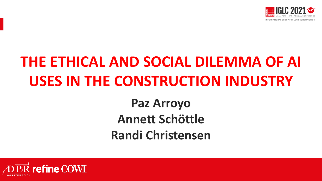

# **THE ETHICAL AND SOCIAL DILEMMA OF AI USES IN THE CONSTRUCTION INDUSTRY**

### **Paz Arroyo Annett Schöttle Randi Christensen**

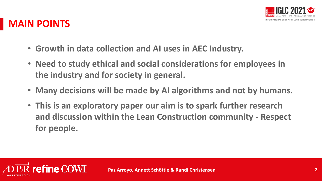

#### **MAIN POINTS**

- **Growth in data collection and AI uses in AEC Industry.**
- **Need to study ethical and social considerations for employees in the industry and for society in general.**
- **Many decisions will be made by AI algorithms and not by humans.**
- **This is an exploratory paper our aim is to spark further research and discussion within the Lean Construction community - Respect for people.**

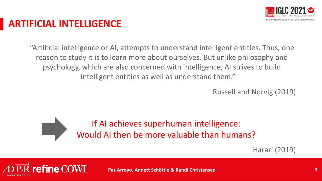

#### **ARTIFICIAL INTELLIGENCE**

"Artificial intelligence or AI, attempts to understand intelligent entities. Thus, one reason to study it is to learn more about ourselves. But unlike philosophy and psychology, which are also concerned with intelligence, AI strives to build intelligent entities as well as understand them."

Russell and Norvig (2019)



Harari (2019)



**Paz Arroyo, Annett Schöttle & Randi Christensen 3**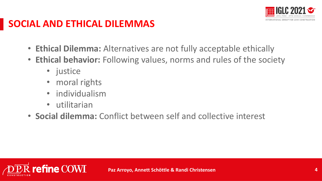

### **SOCIAL AND ETHICAL DILEMMAS**

- **Ethical Dilemma:** Alternatives are not fully acceptable ethically
- **Ethical behavior:** Following values, norms and rules of the society
	- justice
	- moral rights
	- individualism
	- utilitarian
- **Social dilemma:** Conflict between self and collective interest

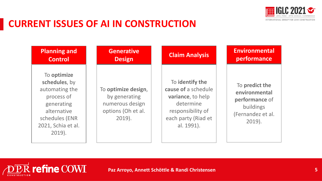

#### **CURRENT ISSUES OF AI IN CONSTRUCTION**

**PR** refine COWI

| <b>Planning and</b>                                                                                                                            | <b>Generative</b>                                                                          | <b>Claim Analysis</b>                                                                                                              | <b>Environmental</b>                                                                             |
|------------------------------------------------------------------------------------------------------------------------------------------------|--------------------------------------------------------------------------------------------|------------------------------------------------------------------------------------------------------------------------------------|--------------------------------------------------------------------------------------------------|
| <b>Control</b>                                                                                                                                 | <b>Design</b>                                                                              |                                                                                                                                    | performance                                                                                      |
| To optimize<br>schedules, by<br>automating the<br>process of<br>generating<br>alternative<br>schedules (ENR<br>2021, Schia et al.<br>$2019$ ). | To optimize design,<br>by generating<br>numerous design<br>options (Oh et al.<br>$2019$ ). | To identify the<br>cause of a schedule<br>variance, to help<br>determine<br>responsibility of<br>each party (Riad et<br>al. 1991). | To predict the<br>environmental<br>performance of<br>buildings<br>(Fernandez et al.<br>$2019$ ). |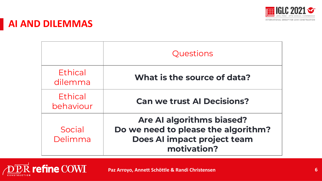

#### **AI AND DILEMMAS**

|                      | Questions                                                                                                             |  |  |
|----------------------|-----------------------------------------------------------------------------------------------------------------------|--|--|
| Ethical<br>dilemma   | What is the source of data?                                                                                           |  |  |
| Ethical<br>behaviour | <b>Can we trust Al Decisions?</b>                                                                                     |  |  |
| Social<br>Delimma    | <b>Are AI algorithms biased?</b><br>Do we need to please the algorithm?<br>Does AI impact project team<br>motivation? |  |  |



**Paz Arroyo, Annett Schöttle & Randi Christensen 6**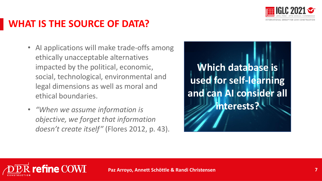

#### **WHAT IS THE SOURCE OF DATA?**

- AI applications will make trade-offs among ethically unacceptable alternatives impacted by the political, economic, social, technological, environmental and legal dimensions as well as moral and ethical boundaries.
- *"When we assume information is objective, we forget that information doesn't create itself"* (Flores 2012, p. 43).

Presentación Presentación Presentación e a contra estadounidense a extensión e a presentación e a estadouniden **Which database is used for self-learning and can AI consider all interests?**

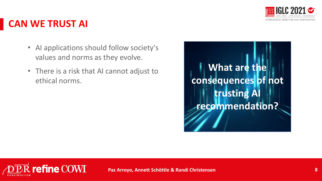

#### **CAN WE TRUST AI**

- AI applications should follow society's values and norms as they evolve.
- There is a risk that AI cannot adjust to ethical norms.



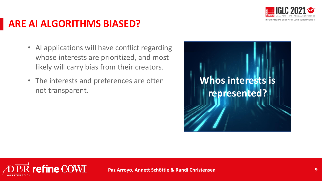

#### **ARE AI ALGORITHMS BIASED?**

- AI applications will have conflict regarding whose interests are prioritized, and most likely will carry bias from their creators.
- The interests and preferences are often not transparent.



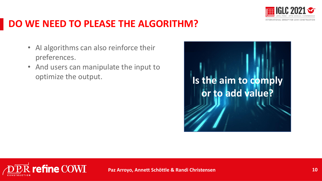

#### **DO WE NEED TO PLEASE THE ALGORITHM?**

- AI algorithms can also reinforce their preferences.
- And users can manipulate the input to optimize the output.



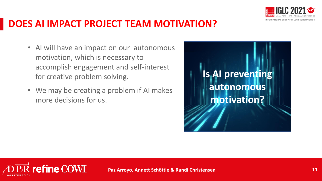

#### **DOES AI IMPACT PROJECT TEAM MOTIVATION?**

- AI will have an impact on our autonomous motivation, which is necessary to accomplish engagement and self-interest for creative problem solving.
- We may be creating a problem if AI makes more decisions for us.



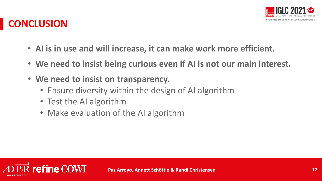

### **CONCLUSION**

- **AI is in use and will increase, it can make work more efficient.**
- **We need to insist being curious even if AI is not our main interest.**
- **We need to insist on transparency.**
	- Ensure diversity within the design of AI algorithm
	- Test the AI algorithm
	- Make evaluation of the AI algorithm